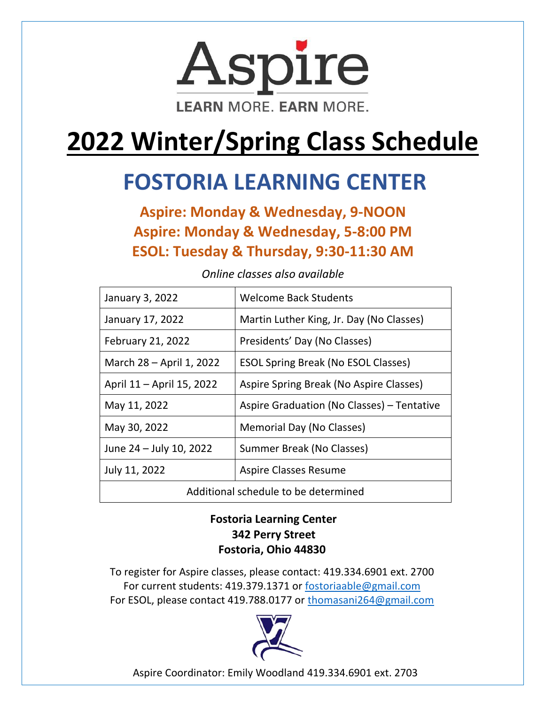

# **2022 Winter/Spring Class Schedule**

## **FOSTORIA LEARNING CENTER**

**Aspire: Monday & Wednesday, 9-NOON Aspire: Monday & Wednesday, 5-8:00 PM ESOL: Tuesday & Thursday, 9:30-11:30 AM**

| January 3, 2022                      | <b>Welcome Back Students</b>               |
|--------------------------------------|--------------------------------------------|
| January 17, 2022                     | Martin Luther King, Jr. Day (No Classes)   |
| February 21, 2022                    | Presidents' Day (No Classes)               |
| March 28 – April 1, 2022             | <b>ESOL Spring Break (No ESOL Classes)</b> |
| April 11 - April 15, 2022            | Aspire Spring Break (No Aspire Classes)    |
| May 11, 2022                         | Aspire Graduation (No Classes) - Tentative |
| May 30, 2022                         | Memorial Day (No Classes)                  |
| June 24 - July 10, 2022              | Summer Break (No Classes)                  |
| July 11, 2022                        | <b>Aspire Classes Resume</b>               |
| Additional schedule to be determined |                                            |

*Online classes also available*

#### **Fostoria Learning Center 342 Perry Street Fostoria, Ohio 44830**

To register for Aspire classes, please contact: 419.334.6901 ext. 2700 For current students: 419.379.1371 or [fostoriaable@gmail.com](mailto:fostoriaable@gmail.com) For ESOL, please contact 419.788.0177 or [thomasani264@gmail.com](mailto:thomasani264@gmail.com)



Aspire Coordinator: Emily Woodland 419.334.6901 ext. 2703